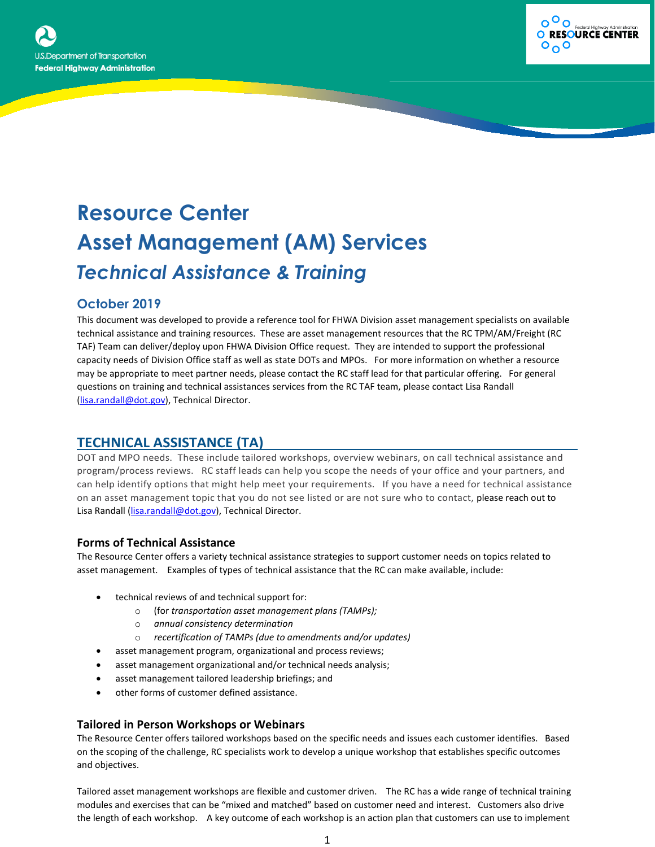



# **Resource Center Asset Management (AM) Services** *Technical Assistance & Training*

## **October 2019**

This document was developed to provide a reference tool for FHWA Division asset management specialists on available technical assistance and training resources. These are asset management resources that the RC TPM/AM/Freight (RC TAF) Team can deliver/deploy upon FHWA Division Office request. They are intended to support the professional capacity needs of Division Office staff as well as state DOTs and MPOs. For more information on whether a resource may be appropriate to meet partner needs, please contact the RC staff lead for that particular offering. For general questions on training and technical assistances services from the RC TAF team, please contact Lisa Randall [\(lisa.randall@dot.gov\)](mailto:lisa.randall@dot.gov), Technical Director.

# **TECHNICAL ASSISTANCE (TA)**

DOT and MPO needs. These include tailored workshops, overview webinars, on call technical assistance and program/process reviews. RC staff leads can help you scope the needs of your office and your partners, and can help identify options that might help meet your requirements. If you have a need for technical assistance on an asset management topic that you do not see listed or are not sure who to contact, please reach out to Lisa Randall [\(lisa.randall@dot.gov\)](mailto:lisa.randall@dot.gov), Technical Director.

## **Forms of Technical Assistance**

The Resource Center offers a variety technical assistance strategies to support customer needs on topics related to asset management. Examples of types of technical assistance that the RC can make available, include:

- technical reviews of and technical support for:
	- o (for *transportation asset management plans (TAMPs);*
	- o *annual consistency determination*
	- o *recertification of TAMPs (due to amendments and/or updates)*
- asset management program, organizational and process reviews;
- asset management organizational and/or technical needs analysis;
- asset management tailored leadership briefings; and
- other forms of customer defined assistance.

#### **Tailored in Person Workshops or Webinars**

The Resource Center offers tailored workshops based on the specific needs and issues each customer identifies. Based on the scoping of the challenge, RC specialists work to develop a unique workshop that establishes specific outcomes and objectives.

Tailored asset management workshops are flexible and customer driven. The RC has a wide range of technical training modules and exercises that can be "mixed and matched" based on customer need and interest. Customers also drive the length of each workshop. A key outcome of each workshop is an action plan that customers can use to implement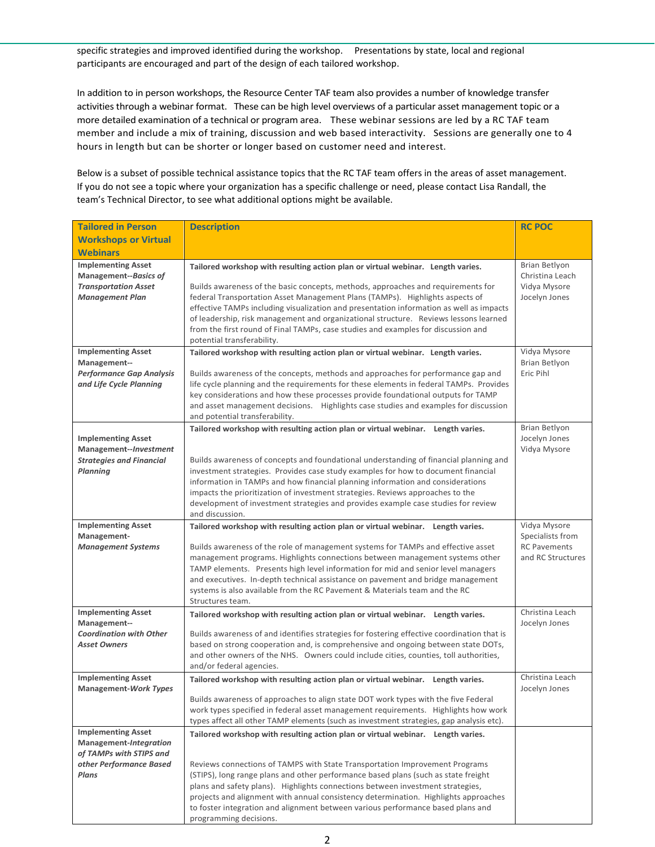specific strategies and improved identified during the workshop. Presentations by state, local and regional participants are encouraged and part of the design of each tailored workshop.

In addition to in person workshops, the Resource Center TAF team also provides a number of knowledge transfer activities through a webinar format. These can be high level overviews of a particular asset management topic or a more detailed examination of a technical or program area. These webinar sessions are led by a RC TAF team member and include a mix of training, discussion and web based interactivity. Sessions are generally one to 4 hours in length but can be shorter or longer based on customer need and interest.

Below is a subset of possible technical assistance topics that the RC TAF team offers in the areas of asset management. If you do not see a topic where your organization has a specific challenge or need, please contact Lisa Randall, the team's Technical Director, to see what additional options might be available.

| <b>Tailored in Person</b>                           | <b>Description</b>                                                                                                                                                              | <b>RC POC</b>                            |  |
|-----------------------------------------------------|---------------------------------------------------------------------------------------------------------------------------------------------------------------------------------|------------------------------------------|--|
| <b>Workshops or Virtual</b>                         |                                                                                                                                                                                 |                                          |  |
| <b>Webinars</b>                                     |                                                                                                                                                                                 |                                          |  |
| <b>Implementing Asset</b><br>Management--Basics of  | Tailored workshop with resulting action plan or virtual webinar. Length varies.                                                                                                 | Brian Betlyon<br>Christina Leach         |  |
| <b>Transportation Asset</b>                         | Builds awareness of the basic concepts, methods, approaches and requirements for                                                                                                | Vidya Mysore                             |  |
| <b>Management Plan</b>                              | federal Transportation Asset Management Plans (TAMPs). Highlights aspects of                                                                                                    | Jocelyn Jones                            |  |
|                                                     | effective TAMPs including visualization and presentation information as well as impacts<br>of leadership, risk management and organizational structure. Reviews lessons learned |                                          |  |
|                                                     | from the first round of Final TAMPs, case studies and examples for discussion and                                                                                               |                                          |  |
|                                                     | potential transferability.                                                                                                                                                      |                                          |  |
| <b>Implementing Asset</b><br>Management--           | Tailored workshop with resulting action plan or virtual webinar. Length varies.                                                                                                 | Vidya Mysore<br>Brian Betlyon            |  |
| <b>Performance Gap Analysis</b>                     | Builds awareness of the concepts, methods and approaches for performance gap and                                                                                                | Eric Pihl                                |  |
| and Life Cycle Planning                             | life cycle planning and the requirements for these elements in federal TAMPs. Provides                                                                                          |                                          |  |
|                                                     | key considerations and how these processes provide foundational outputs for TAMP<br>and asset management decisions. Highlights case studies and examples for discussion         |                                          |  |
|                                                     | and potential transferability.                                                                                                                                                  |                                          |  |
|                                                     | Tailored workshop with resulting action plan or virtual webinar. Length varies.                                                                                                 | Brian Betlyon                            |  |
| <b>Implementing Asset</b><br>Management--Investment |                                                                                                                                                                                 | Jocelyn Jones<br>Vidya Mysore            |  |
| <b>Strategies and Financial</b>                     | Builds awareness of concepts and foundational understanding of financial planning and                                                                                           |                                          |  |
| Planning                                            | investment strategies. Provides case study examples for how to document financial                                                                                               |                                          |  |
|                                                     | information in TAMPs and how financial planning information and considerations                                                                                                  |                                          |  |
|                                                     | impacts the prioritization of investment strategies. Reviews approaches to the<br>development of investment strategies and provides example case studies for review             |                                          |  |
|                                                     | and discussion.                                                                                                                                                                 |                                          |  |
| <b>Implementing Asset</b>                           | Tailored workshop with resulting action plan or virtual webinar. Length varies.                                                                                                 | Vidya Mysore                             |  |
| Management-                                         |                                                                                                                                                                                 |                                          |  |
|                                                     |                                                                                                                                                                                 | Specialists from                         |  |
| <b>Management Systems</b>                           | Builds awareness of the role of management systems for TAMPs and effective asset                                                                                                | <b>RC Pavements</b><br>and RC Structures |  |
|                                                     | management programs. Highlights connections between management systems other<br>TAMP elements. Presents high level information for mid and senior level managers                |                                          |  |
|                                                     | and executives. In-depth technical assistance on pavement and bridge management                                                                                                 |                                          |  |
|                                                     | systems is also available from the RC Pavement & Materials team and the RC                                                                                                      |                                          |  |
| <b>Implementing Asset</b>                           | Structures team.                                                                                                                                                                | Christina Leach                          |  |
| Management--                                        | Tailored workshop with resulting action plan or virtual webinar. Length varies.                                                                                                 | Jocelyn Jones                            |  |
| <b>Coordination with Other</b>                      | Builds awareness of and identifies strategies for fostering effective coordination that is                                                                                      |                                          |  |
| <b>Asset Owners</b>                                 | based on strong cooperation and, is comprehensive and ongoing between state DOTs,<br>and other owners of the NHS. Owners could include cities, counties, toll authorities,      |                                          |  |
|                                                     | and/or federal agencies.                                                                                                                                                        |                                          |  |
| <b>Implementing Asset</b>                           | Tailored workshop with resulting action plan or virtual webinar. Length varies.                                                                                                 | Christina Leach                          |  |
| <b>Management-Work Types</b>                        | Builds awareness of approaches to align state DOT work types with the five Federal                                                                                              | Jocelyn Jones                            |  |
|                                                     | work types specified in federal asset management requirements. Highlights how work                                                                                              |                                          |  |
|                                                     | types affect all other TAMP elements (such as investment strategies, gap analysis etc).                                                                                         |                                          |  |
| <b>Implementing Asset</b>                           | Tailored workshop with resulting action plan or virtual webinar. Length varies.                                                                                                 |                                          |  |
| Management-Integration<br>of TAMPs with STIPS and   |                                                                                                                                                                                 |                                          |  |
| other Performance Based                             | Reviews connections of TAMPS with State Transportation Improvement Programs                                                                                                     |                                          |  |
| Plans                                               | (STIPS), long range plans and other performance based plans (such as state freight                                                                                              |                                          |  |
|                                                     | plans and safety plans). Highlights connections between investment strategies,                                                                                                  |                                          |  |
|                                                     | projects and alignment with annual consistency determination. Highlights approaches<br>to foster integration and alignment between various performance based plans and          |                                          |  |